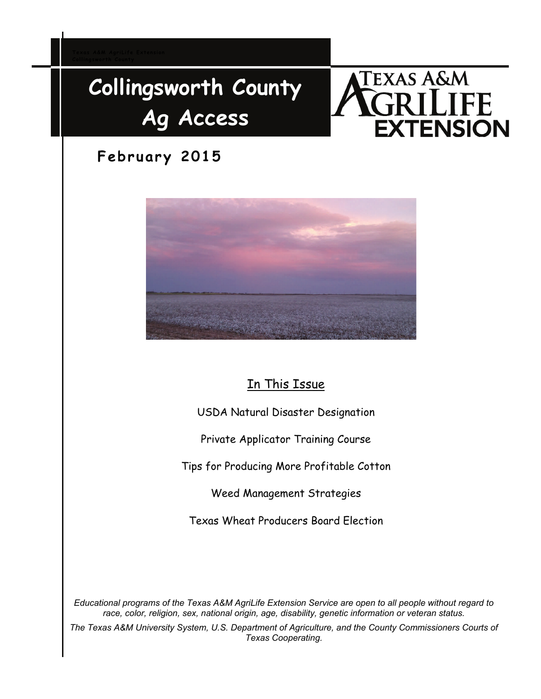# **Collingsworth County Ag Access**

# **TEXAS A&M** FE *TENSION*

# **February 2015**



# In This Issue

USDA Natural Disaster Designation

Private Applicator Training Course

Tips for Producing More Profitable Cotton

Weed Management Strategies

Texas Wheat Producers Board Election

*Educational programs of the Texas A&M AgriLife Extension Service are open to all people without regard to race, color, religion, sex, national origin, age, disability, genetic information or veteran status.* 

*The Texas A&M University System, U.S. Department of Agriculture, and the County Commissioners Courts of Texas Cooperating.*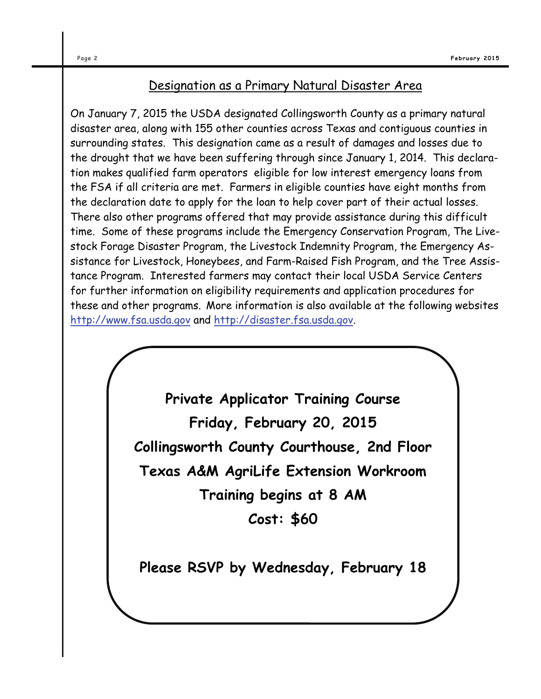## Designation as a Primary Natural Disaster Area

On January 7, 2015 the USDA designated Collingsworth County as a primary natural disaster area, along with 155 other counties across Texas and contiguous counties in surrounding states. This designation came as a result of damages and losses due to the drought that we have been suffering through since January 1, 2014. This declaration makes qualified farm operators eligible for low interest emergency loans from the FSA if all criteria are met. Farmers in eligible counties have eight months from the declaration date to apply for the loan to help cover part of their actual losses. There also other programs offered that may provide assistance during this difficult time. Some of these programs include the Emergency Conservation Program, The Livestock Forage Disaster Program, the Livestock Indemnity Program, the Emergency Assistance for Livestock, Honeybees, and Farm-Raised Fish Program, and the Tree Assistance Program. Interested farmers may contact their local USDA Service Centers for further information on eligibility requirements and application procedures for these and other programs. More information is also available at the following websites <http://www.fsa.usda.gov>and [http://disaster.fsa.usda.gov.](http://disaster.fsa.usda.gov)

> **Private Applicator Training Course Friday, February 20, 2015 Collingsworth County Courthouse, 2nd Floor Texas A&M AgriLife Extension Workroom Training begins at 8 AM Cost: \$60**

**Please RSVP by Wednesday, February 18**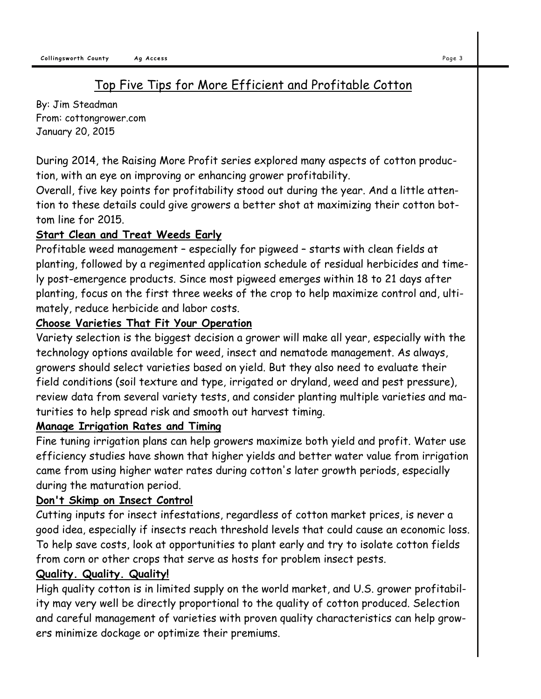# Top Five Tips for More Efficient and Profitable Cotton

By: Jim Steadman From: cottongrower.com January 20, 2015

During 2014, the Raising More Profit series explored many aspects of cotton production, with an eye on improving or enhancing grower profitability.

Overall, five key points for profitability stood out during the year. And a little attention to these details could give growers a better shot at maximizing their cotton bottom line for 2015.

#### **Start Clean and Treat Weeds Early**

Profitable weed management – especially for pigweed – starts with clean fields at planting, followed by a regimented application schedule of residual herbicides and timely post-emergence products. Since most pigweed emerges within 18 to 21 days after planting, focus on the first three weeks of the crop to help maximize control and, ultimately, reduce herbicide and labor costs.

#### **Choose Varieties That Fit Your Operation**

Variety selection is the biggest decision a grower will make all year, especially with the technology options available for weed, insect and nematode management. As always, growers should select varieties based on yield. But they also need to evaluate their field conditions (soil texture and type, irrigated or dryland, weed and pest pressure), review data from several variety tests, and consider planting multiple varieties and maturities to help spread risk and smooth out harvest timing.

#### **Manage Irrigation Rates and Timing**

Fine tuning irrigation plans can help growers maximize both yield and profit. Water use efficiency studies have shown that higher yields and better water value from irrigation came from using higher water rates during cotton's later growth periods, especially during the maturation period.

## **Don't Skimp on Insect Control**

Cutting inputs for insect infestations, regardless of cotton market prices, is never a good idea, especially if insects reach threshold levels that could cause an economic loss. To help save costs, look at opportunities to plant early and try to isolate cotton fields from corn or other crops that serve as hosts for problem insect pests.

## **Quality. Quality. Quality!**

High quality cotton is in limited supply on the world market, and U.S. grower profitability may very well be directly proportional to the quality of cotton produced. Selection and careful management of varieties with proven quality characteristics can help growers minimize dockage or optimize their premiums.